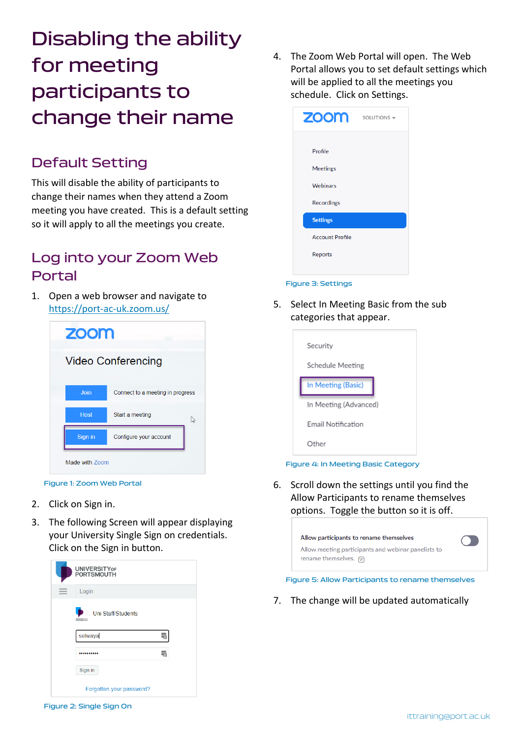Disabling the ability for meeting participants to change their name

### Default Setting

This will disable the ability of participants to change their names when they attend a Zoom meeting you have created. This is a default setting so it will apply to all the meetings you create.

## Log into your Zoom Web Portal

1. Open a web browser and navigate to <https://port-ac-uk.zoom.us/>

| <b>ZOOM</b>    |                                  |   |
|----------------|----------------------------------|---|
|                | <b>Video Conferencing</b>        |   |
| Join           | Connect to a meeting in progress |   |
| <b>Host</b>    | Start a meeting                  | じ |
| Sign in        | Configure your account           |   |
| Made with Zoom |                                  |   |

Figure 1: Zoom Web Portal

- 2. Click on Sign in.
- 3. The following Screen will appear displaying your University Single Sign on credentials. Click on the Sign in button.



4. The Zoom Web Portal will open. The Web Portal allows you to set default settings which will be applied to all the meetings you schedule. Click on Settings.



### Figure 3: Settings

5. Select In Meeting Basic from the sub categories that appear.

| Security              |
|-----------------------|
| Schedule Meeting      |
| In Meeting (Basic)    |
| In Meeting (Advanced) |
| Email Notification    |
| Other                 |

#### Figure 4: In Meeting Basic Category

6. Scroll down the settings until you find the Allow Participants to rename themselves options. Toggle the button so it is off.

| Allow participants to rename themselves             |  |
|-----------------------------------------------------|--|
| Allow meeting participants and webinar panelists to |  |
| rename themselves. $\boxed{\mathcal{R}}$            |  |

#### Figure 5: Allow Participants to rename themselves

7. The change will be updated automatically

Figure 2: Single Sign On